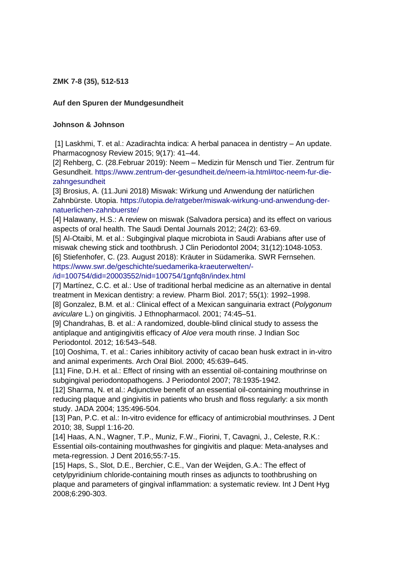**ZMK 7-8 (35), 512-513**

## **Auf den Spuren der Mundgesundheit**

## **Johnson & Johnson**

[1] Laskhmi, T. et al.: Azadirachta indica: A herbal panacea in dentistry – An update. Pharmacognosy Review 2015; 9(17): 41–44.

[2] Rehberg, C. (28.Februar 2019): Neem – Medizin für Mensch und Tier. Zentrum für Gesundheit. [https://www.zentrum-der-gesundheit.de/neem-ia.html#toc-neem-fur-die](https://www.zentrum-der-gesundheit.de/neem-ia.html#toc-neem-fur-die-zahngesundheit)[zahngesundheit](https://www.zentrum-der-gesundheit.de/neem-ia.html#toc-neem-fur-die-zahngesundheit)

[3] Brosius, A. (11.Juni 2018) Miswak: Wirkung und Anwendung der natürlichen Zahnbürste. Utopia. [https://utopia.de/ratgeber/miswak-wirkung-und-anwendung-der](https://utopia.de/ratgeber/miswak-wirkung-und-anwendung-der-natuerlichen-zahnbuerste/)[natuerlichen-zahnbuerste/](https://utopia.de/ratgeber/miswak-wirkung-und-anwendung-der-natuerlichen-zahnbuerste/)

[4] Halawany, H.S.: A review on miswak (Salvadora persica) and its effect on various aspects of oral health. The Saudi Dental Journals 2012; 24(2): 63-69.

[5] Al-Otaibi, M. et al.: Subgingival plaque microbiota in Saudi Arabians after use of miswak chewing stick and toothbrush. J Clin Periodontol 2004; 31(12):1048-1053. [6] Stiefenhofer, C. (23. August 2018): Kräuter in Südamerika. SWR Fernsehen. [https://www.swr.de/geschichte/suedamerika-kraeuterwelten/-](https://www.swr.de/geschichte/suedamerika-kraeuterwelten/-/id=100754/did=20003552/nid=100754/1gnfq8n/index.html)

[/id=100754/did=20003552/nid=100754/1gnfq8n/index.html](https://www.swr.de/geschichte/suedamerika-kraeuterwelten/-/id=100754/did=20003552/nid=100754/1gnfq8n/index.html)

[7] Martínez, C.C. et al.: Use of traditional herbal medicine as an alternative in dental treatment in Mexican dentistry: a review. Pharm Biol. 2017; 55(1): 1992–1998.

[8] Gonzalez, B.M. et al.: Clinical effect of a Mexican sanguinaria extract (*Polygonum aviculare* L.) on gingivitis. J Ethnopharmacol. 2001; 74:45–51.

[9] Chandrahas, B. et al.: A randomized, double-blind clinical study to assess the antiplaque and antigingivitis efficacy of *Aloe vera* mouth rinse. J Indian Soc Periodontol. 2012; 16:543–548.

[10] Ooshima, T. et al.: Caries inhibitory activity of cacao bean husk extract in in-vitro and animal experiments. Arch Oral Biol. 2000; 45:639–645.

[11] Fine, D.H. et al.: Effect of rinsing with an essential oil-containing mouthrinse on subgingival periodontopathogens. J Periodontol 2007; 78:1935-1942.

[12] Sharma, N. et al.: Adjunctive benefit of an essential oil-containing mouthrinse in reducing plaque and gingivitis in patients who brush and floss regularly: a six month study. JADA 2004; 135:496-504.

[13] Pan, P.C. et al.: In-vitro evidence for efficacy of antimicrobial mouthrinses. J Dent 2010; 38, Suppl 1:16-20.

[14] Haas, A.N., Wagner, T.P., Muniz, F.W., Fiorini, T, Cavagni, J., Celeste, R.K.: Essential oils-containing mouthwashes for gingivitis and plaque: Meta-analyses and meta-regression. J Dent 2016;55:7-15.

[15] Haps, S., Slot, D.E., Berchier, C.E., Van der Weijden, G.A.: The effect of cetylpyridinium chloride-containing mouth rinses as adjuncts to toothbrushing on plaque and parameters of gingival inflammation: a systematic review. Int J Dent Hyg 2008;6:290-303.